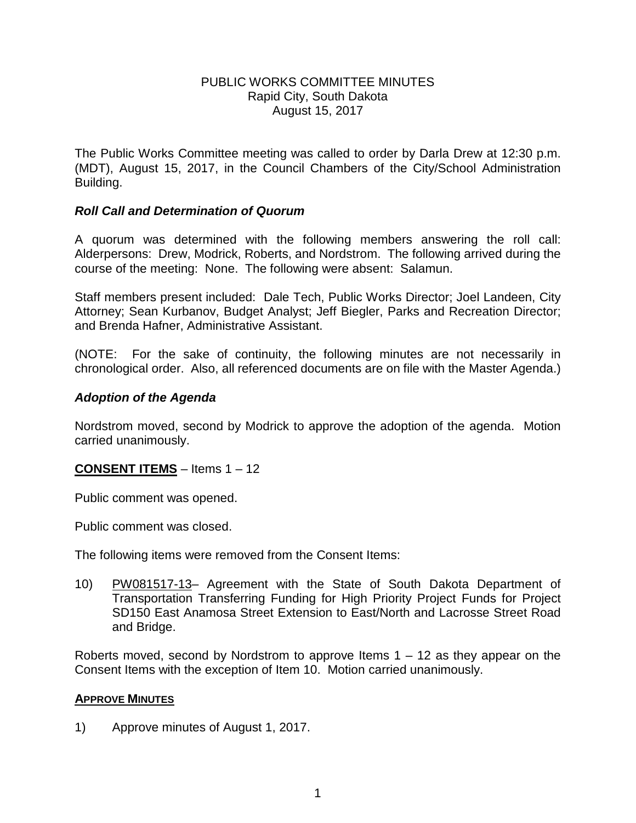### PUBLIC WORKS COMMITTEE MINUTES Rapid City, South Dakota August 15, 2017

The Public Works Committee meeting was called to order by Darla Drew at 12:30 p.m. (MDT), August 15, 2017, in the Council Chambers of the City/School Administration Building.

# *Roll Call and Determination of Quorum*

A quorum was determined with the following members answering the roll call: Alderpersons: Drew, Modrick, Roberts, and Nordstrom. The following arrived during the course of the meeting: None. The following were absent: Salamun.

Staff members present included: Dale Tech, Public Works Director; Joel Landeen, City Attorney; Sean Kurbanov, Budget Analyst; Jeff Biegler, Parks and Recreation Director; and Brenda Hafner, Administrative Assistant.

(NOTE: For the sake of continuity, the following minutes are not necessarily in chronological order. Also, all referenced documents are on file with the Master Agenda.)

### *Adoption of the Agenda*

Nordstrom moved, second by Modrick to approve the adoption of the agenda. Motion carried unanimously.

# **CONSENT ITEMS** – Items 1 – 12

Public comment was opened.

Public comment was closed.

The following items were removed from the Consent Items:

10) PW081517-13– Agreement with the State of South Dakota Department of Transportation Transferring Funding for High Priority Project Funds for Project SD150 East Anamosa Street Extension to East/North and Lacrosse Street Road and Bridge.

Roberts moved, second by Nordstrom to approve Items 1 – 12 as they appear on the Consent Items with the exception of Item 10. Motion carried unanimously.

#### **APPROVE MINUTES**

1) Approve minutes of August 1, 2017.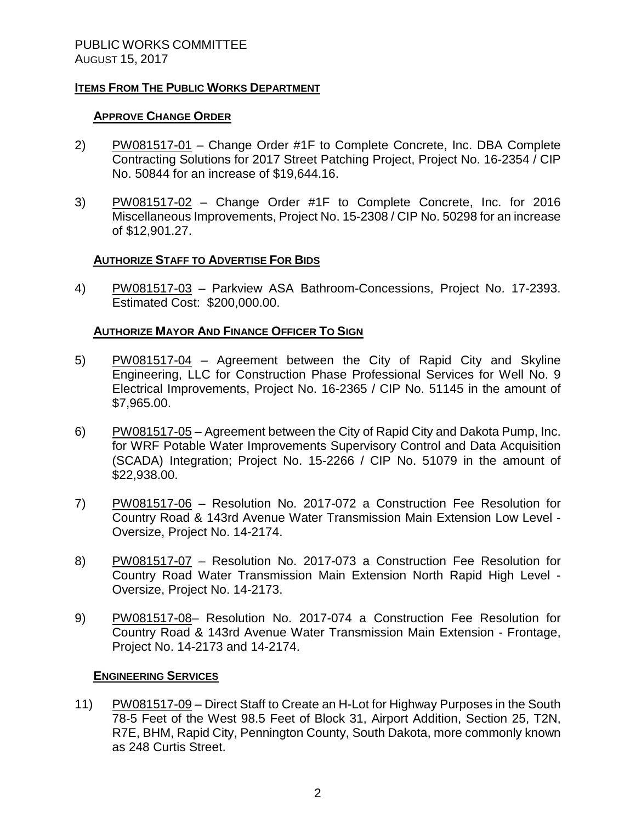### **ITEMS FROM THE PUBLIC WORKS DEPARTMENT**

### **APPROVE CHANGE ORDER**

- 2) PW081517-01 Change Order #1F to Complete Concrete, Inc. DBA Complete Contracting Solutions for 2017 Street Patching Project, Project No. 16-2354 / CIP No. 50844 for an increase of \$19,644.16.
- 3) PW081517-02 Change Order #1F to Complete Concrete, Inc. for 2016 Miscellaneous Improvements, Project No. 15-2308 / CIP No. 50298 for an increase of \$12,901.27.

### **AUTHORIZE STAFF TO ADVERTISE FOR BIDS**

4) PW081517-03 – Parkview ASA Bathroom-Concessions, Project No. 17-2393. Estimated Cost: \$200,000.00.

### **AUTHORIZE MAYOR AND FINANCE OFFICER TO SIGN**

- 5) PW081517-04 Agreement between the City of Rapid City and Skyline Engineering, LLC for Construction Phase Professional Services for Well No. 9 Electrical Improvements, Project No. 16-2365 / CIP No. 51145 in the amount of \$7,965.00.
- 6) PW081517-05 Agreement between the City of Rapid City and Dakota Pump, Inc. for WRF Potable Water Improvements Supervisory Control and Data Acquisition (SCADA) Integration; Project No. 15-2266 / CIP No. 51079 in the amount of \$22,938.00.
- 7) PW081517-06 Resolution No. 2017-072 a Construction Fee Resolution for Country Road & 143rd Avenue Water Transmission Main Extension Low Level - Oversize, Project No. 14-2174.
- 8) PW081517-07 Resolution No. 2017-073 a Construction Fee Resolution for Country Road Water Transmission Main Extension North Rapid High Level - Oversize, Project No. 14-2173.
- 9) PW081517-08– Resolution No. 2017-074 a Construction Fee Resolution for Country Road & 143rd Avenue Water Transmission Main Extension - Frontage, Project No. 14-2173 and 14-2174.

#### **ENGINEERING SERVICES**

11) PW081517-09 – Direct Staff to Create an H-Lot for Highway Purposes in the South 78-5 Feet of the West 98.5 Feet of Block 31, Airport Addition, Section 25, T2N, R7E, BHM, Rapid City, Pennington County, South Dakota, more commonly known as 248 Curtis Street.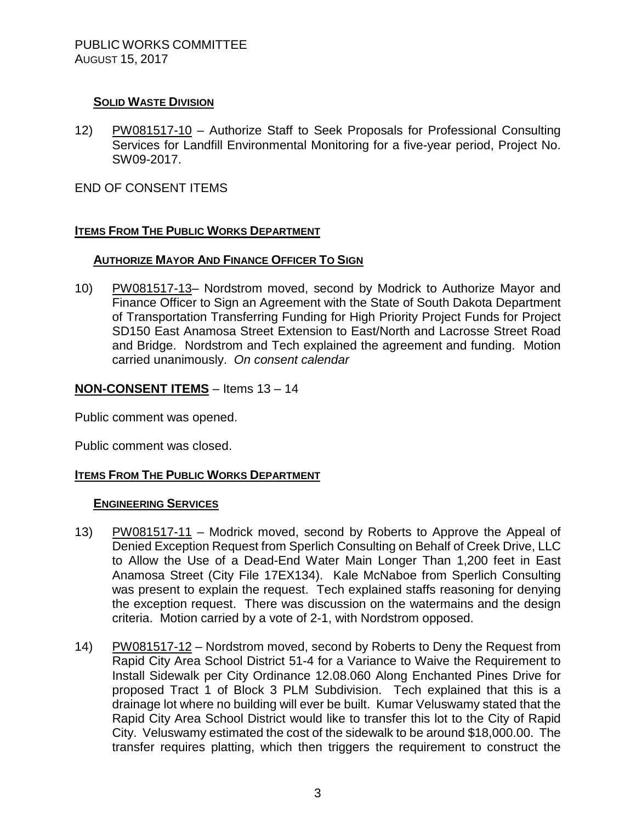# **SOLID WASTE DIVISION**

12) PW081517-10 – Authorize Staff to Seek Proposals for Professional Consulting Services for Landfill Environmental Monitoring for a five-year period, Project No. SW09-2017.

END OF CONSENT ITEMS

# **ITEMS FROM THE PUBLIC WORKS DEPARTMENT**

# **AUTHORIZE MAYOR AND FINANCE OFFICER TO SIGN**

10) PW081517-13– Nordstrom moved, second by Modrick to Authorize Mayor and Finance Officer to Sign an Agreement with the State of South Dakota Department of Transportation Transferring Funding for High Priority Project Funds for Project SD150 East Anamosa Street Extension to East/North and Lacrosse Street Road and Bridge. Nordstrom and Tech explained the agreement and funding. Motion carried unanimously. *On consent calendar*

# **NON-CONSENT ITEMS** – Items 13 – 14

Public comment was opened.

Public comment was closed.

# **ITEMS FROM THE PUBLIC WORKS DEPARTMENT**

#### **ENGINEERING SERVICES**

- 13) PW081517-11 Modrick moved, second by Roberts to Approve the Appeal of Denied Exception Request from Sperlich Consulting on Behalf of Creek Drive, LLC to Allow the Use of a Dead-End Water Main Longer Than 1,200 feet in East Anamosa Street (City File 17EX134). Kale McNaboe from Sperlich Consulting was present to explain the request. Tech explained staffs reasoning for denying the exception request. There was discussion on the watermains and the design criteria. Motion carried by a vote of 2-1, with Nordstrom opposed.
- 14) PW081517-12 Nordstrom moved, second by Roberts to Deny the Request from Rapid City Area School District 51-4 for a Variance to Waive the Requirement to Install Sidewalk per City Ordinance 12.08.060 Along Enchanted Pines Drive for proposed Tract 1 of Block 3 PLM Subdivision. Tech explained that this is a drainage lot where no building will ever be built. Kumar Veluswamy stated that the Rapid City Area School District would like to transfer this lot to the City of Rapid City. Veluswamy estimated the cost of the sidewalk to be around \$18,000.00. The transfer requires platting, which then triggers the requirement to construct the